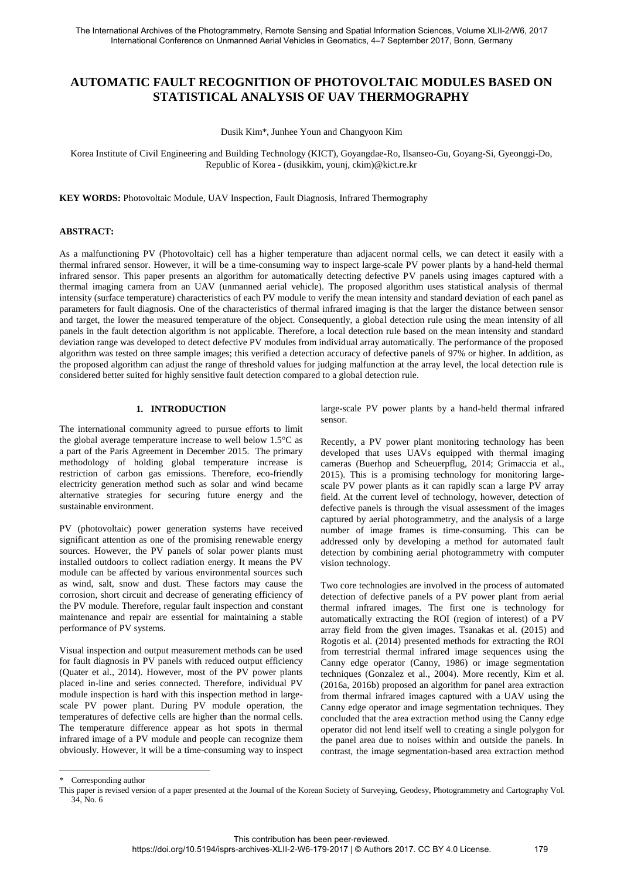# **AUTOMATIC FAULT RECOGNITION OF PHOTOVOLTAIC MODULES BASED ON STATISTICAL ANALYSIS OF UAV THERMOGRAPHY**

Dusik Kim\*, Junhee Youn and Changyoon Kim

Korea Institute of Civil Engineering and Building Technology (KICT), Goyangdae-Ro, Ilsanseo-Gu, Goyang-Si, Gyeonggi-Do, Republic of Korea - (dusikkim, younj, ckim)@kict.re.kr

**KEY WORDS:** Photovoltaic Module, UAV Inspection, Fault Diagnosis, Infrared Thermography

#### **ABSTRACT:**

As a malfunctioning PV (Photovoltaic) cell has a higher temperature than adjacent normal cells, we can detect it easily with a thermal infrared sensor. However, it will be a time-consuming way to inspect large-scale PV power plants by a hand-held thermal infrared sensor. This paper presents an algorithm for automatically detecting defective PV panels using images captured with a thermal imaging camera from an UAV (unmanned aerial vehicle). The proposed algorithm uses statistical analysis of thermal intensity (surface temperature) characteristics of each PV module to verify the mean intensity and standard deviation of each panel as parameters for fault diagnosis. One of the characteristics of thermal infrared imaging is that the larger the distance between sensor and target, the lower the measured temperature of the object. Consequently, a global detection rule using the mean intensity of all panels in the fault detection algorithm is not applicable. Therefore, a local detection rule based on the mean intensity and standard deviation range was developed to detect defective PV modules from individual array automatically. The performance of the proposed algorithm was tested on three sample images; this verified a detection accuracy of defective panels of 97% or higher. In addition, as the proposed algorithm can adjust the range of threshold values for judging malfunction at the array level, the local detection rule is considered better suited for highly sensitive fault detection compared to a global detection rule.

## **1. INTRODUCTION**

The international community agreed to pursue efforts to limit the global average temperature increase to well below 1.5°C as a part of the Paris Agreement in December 2015. The primary methodology of holding global temperature increase is restriction of carbon gas emissions. Therefore, eco-friendly electricity generation method such as solar and wind became alternative strategies for securing future energy and the sustainable environment.

PV (photovoltaic) power generation systems have received significant attention as one of the promising renewable energy sources. However, the PV panels of solar power plants must installed outdoors to collect radiation energy. It means the PV module can be affected by various environmental sources such as wind, salt, snow and dust. These factors may cause the corrosion, short circuit and decrease of generating efficiency of the PV module. Therefore, regular fault inspection and constant maintenance and repair are essential for maintaining a stable performance of PV systems.

Visual inspection and output measurement methods can be used for fault diagnosis in PV panels with reduced output efficiency (Quater et al., 2014). However, most of the PV power plants placed in-line and series connected. Therefore, individual PV module inspection is hard with this inspection method in largescale PV power plant. During PV module operation, the temperatures of defective cells are higher than the normal cells. The temperature difference appear as hot spots in thermal infrared image of a PV module and people can recognize them obviously. However, it will be a time-consuming way to inspect

large-scale PV power plants by a hand-held thermal infrared sensor.

Recently, a PV power plant monitoring technology has been developed that uses UAVs equipped with thermal imaging cameras (Buerhop and Scheuerpflug, 2014; Grimaccia et al., 2015). This is a promising technology for monitoring largescale PV power plants as it can rapidly scan a large PV array field. At the current level of technology, however, detection of defective panels is through the visual assessment of the images captured by aerial photogrammetry, and the analysis of a large number of image frames is time-consuming. This can be addressed only by developing a method for automated fault detection by combining aerial photogrammetry with computer vision technology.

Two core technologies are involved in the process of automated detection of defective panels of a PV power plant from aerial thermal infrared images. The first one is technology for automatically extracting the ROI (region of interest) of a PV array field from the given images. Tsanakas et al. (2015) and Rogotis et al. (2014) presented methods for extracting the ROI from terrestrial thermal infrared image sequences using the Canny edge operator (Canny, 1986) or image segmentation techniques (Gonzalez et al., 2004). More recently, Kim et al. (2016a, 2016b) proposed an algorithm for panel area extraction from thermal infrared images captured with a UAV using the Canny edge operator and image segmentation techniques. They concluded that the area extraction method using the Canny edge operator did not lend itself well to creating a single polygon for the panel area due to noises within and outside the panels. In contrast, the image segmentation-based area extraction method

Corresponding author

This paper is revised version of a paper presented at the Journal of the Korean Society of Surveying, Geodesy, Photogrammetry and Cartography Vol. 34, No. 6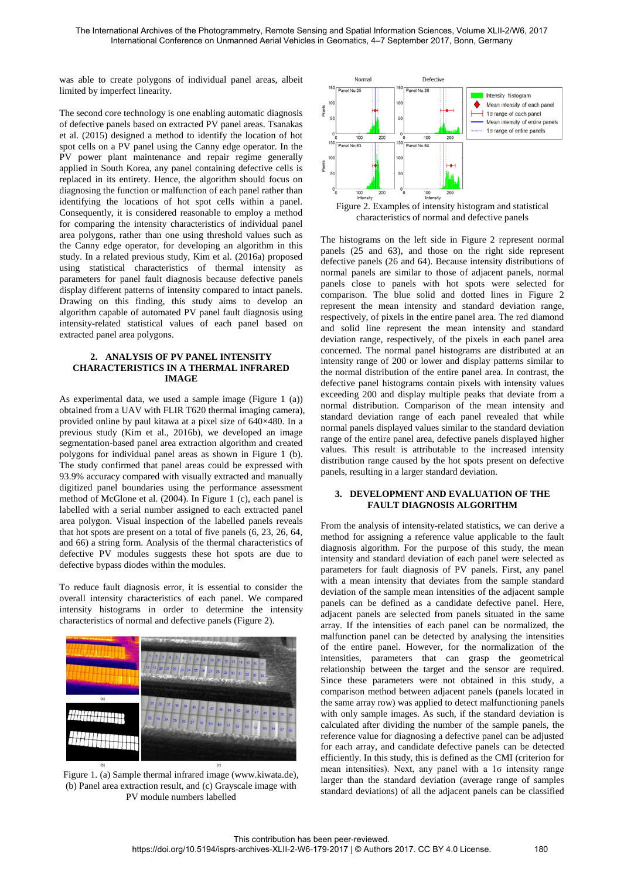was able to create polygons of individual panel areas, albeit limited by imperfect linearity.

The second core technology is one enabling automatic diagnosis of defective panels based on extracted PV panel areas. Tsanakas et al. (2015) designed a method to identify the location of hot spot cells on a PV panel using the Canny edge operator. In the PV power plant maintenance and repair regime generally applied in South Korea, any panel containing defective cells is replaced in its entirety. Hence, the algorithm should focus on diagnosing the function or malfunction of each panel rather than identifying the locations of hot spot cells within a panel. Consequently, it is considered reasonable to employ a method for comparing the intensity characteristics of individual panel area polygons, rather than one using threshold values such as the Canny edge operator, for developing an algorithm in this study. In a related previous study, Kim et al. (2016a) proposed using statistical characteristics of thermal intensity as parameters for panel fault diagnosis because defective panels display different patterns of intensity compared to intact panels. Drawing on this finding, this study aims to develop an algorithm capable of automated PV panel fault diagnosis using intensity-related statistical values of each panel based on extracted panel area polygons.

#### **2. ANALYSIS OF PV PANEL INTENSITY CHARACTERISTICS IN A THERMAL INFRARED IMAGE**

As experimental data, we used a sample image (Figure 1 (a)) obtained from a UAV with FLIR T620 thermal imaging camera), provided online by paul kitawa at a pixel size of 640×480. In a previous study (Kim et al., 2016b), we developed an image segmentation-based panel area extraction algorithm and created polygons for individual panel areas as shown in Figure 1 (b). The study confirmed that panel areas could be expressed with 93.9% accuracy compared with visually extracted and manually digitized panel boundaries using the performance assessment method of McGlone et al. (2004). In Figure 1 (c), each panel is labelled with a serial number assigned to each extracted panel area polygon. Visual inspection of the labelled panels reveals that hot spots are present on a total of five panels (6, 23, 26, 64, and 66) a string form. Analysis of the thermal characteristics of defective PV modules suggests these hot spots are due to defective bypass diodes within the modules.

To reduce fault diagnosis error, it is essential to consider the overall intensity characteristics of each panel. We compared intensity histograms in order to determine the intensity characteristics of normal and defective panels (Figure 2).



Figure 1. (a) Sample thermal infrared image (www.kiwata.de), (b) Panel area extraction result, and (c) Grayscale image with PV module numbers labelled



Figure 2. Examples of intensity histogram and statistical characteristics of normal and defective panels

The histograms on the left side in Figure 2 represent normal panels (25 and 63), and those on the right side represent defective panels (26 and 64). Because intensity distributions of normal panels are similar to those of adjacent panels, normal panels close to panels with hot spots were selected for comparison. The blue solid and dotted lines in Figure 2 represent the mean intensity and standard deviation range, respectively, of pixels in the entire panel area. The red diamond and solid line represent the mean intensity and standard deviation range, respectively, of the pixels in each panel area concerned. The normal panel histograms are distributed at an intensity range of 200 or lower and display patterns similar to the normal distribution of the entire panel area. In contrast, the defective panel histograms contain pixels with intensity values exceeding 200 and display multiple peaks that deviate from a normal distribution. Comparison of the mean intensity and standard deviation range of each panel revealed that while normal panels displayed values similar to the standard deviation range of the entire panel area, defective panels displayed higher values. This result is attributable to the increased intensity distribution range caused by the hot spots present on defective panels, resulting in a larger standard deviation.

## **3. DEVELOPMENT AND EVALUATION OF THE FAULT DIAGNOSIS ALGORITHM**

From the analysis of intensity-related statistics, we can derive a method for assigning a reference value applicable to the fault diagnosis algorithm. For the purpose of this study, the mean intensity and standard deviation of each panel were selected as parameters for fault diagnosis of PV panels. First, any panel with a mean intensity that deviates from the sample standard deviation of the sample mean intensities of the adjacent sample panels can be defined as a candidate defective panel. Here, adjacent panels are selected from panels situated in the same array. If the intensities of each panel can be normalized, the malfunction panel can be detected by analysing the intensities of the entire panel. However, for the normalization of the intensities, parameters that can grasp the geometrical relationship between the target and the sensor are required. Since these parameters were not obtained in this study, a comparison method between adjacent panels (panels located in the same array row) was applied to detect malfunctioning panels with only sample images. As such, if the standard deviation is calculated after dividing the number of the sample panels, the reference value for diagnosing a defective panel can be adjusted for each array, and candidate defective panels can be detected efficiently. In this study, this is defined as the CMI (criterion for mean intensities). Next, any panel with a 1σ intensity range larger than the standard deviation (average range of samples standard deviations) of all the adjacent panels can be classified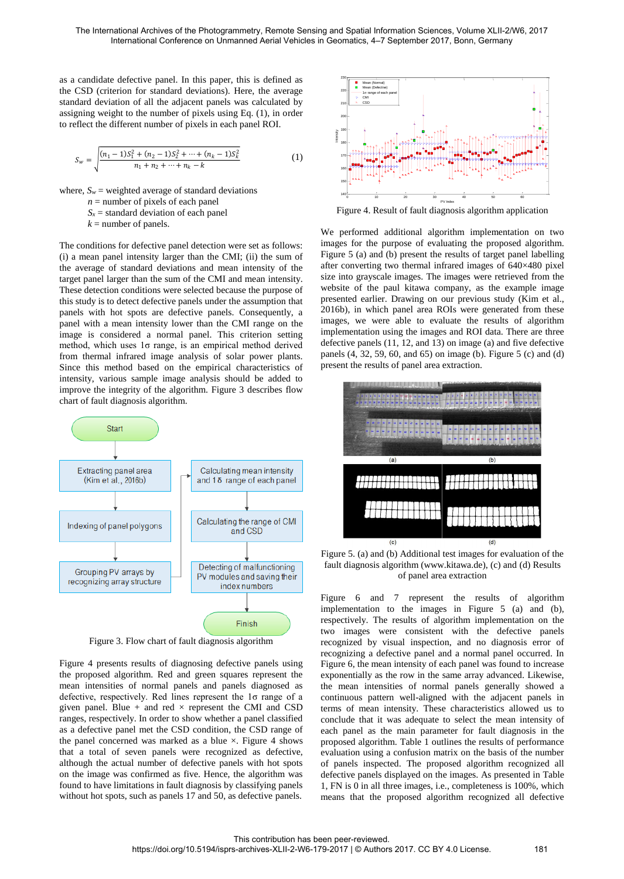as a candidate defective panel. In this paper, this is defined as the CSD (criterion for standard deviations). Here, the average standard deviation of all the adjacent panels was calculated by assigning weight to the number of pixels using Eq. (1), in order to reflect the different number of pixels in each panel ROI.

$$
S_w = \sqrt{\frac{(n_1 - 1)S_1^2 + (n_2 - 1)S_2^2 + \dots + (n_k - 1)S_k^2}{n_1 + n_2 + \dots + n_k - k}}
$$
(1)

where,  $S_w$  = weighted average of standard deviations

 $n =$  number of pixels of each panel

 $S_x$  = standard deviation of each panel

 $k =$  number of panels.

The conditions for defective panel detection were set as follows: (i) a mean panel intensity larger than the CMI; (ii) the sum of the average of standard deviations and mean intensity of the target panel larger than the sum of the CMI and mean intensity. These detection conditions were selected because the purpose of this study is to detect defective panels under the assumption that panels with hot spots are defective panels. Consequently, a panel with a mean intensity lower than the CMI range on the image is considered a normal panel. This criterion setting method, which uses  $1\sigma$  range, is an empirical method derived from thermal infrared image analysis of solar power plants. Since this method based on the empirical characteristics of intensity, various sample image analysis should be added to improve the integrity of the algorithm. Figure 3 describes flow chart of fault diagnosis algorithm.



Figure 3. Flow chart of fault diagnosis algorithm

Figure 4 presents results of diagnosing defective panels using the proposed algorithm. Red and green squares represent the mean intensities of normal panels and panels diagnosed as defective, respectively. Red lines represent the 1σ range of a given panel. Blue + and red  $\times$  represent the CMI and CSD ranges, respectively. In order to show whether a panel classified as a defective panel met the CSD condition, the CSD range of the panel concerned was marked as a blue  $\times$ . Figure 4 shows that a total of seven panels were recognized as defective, although the actual number of defective panels with hot spots on the image was confirmed as five. Hence, the algorithm was found to have limitations in fault diagnosis by classifying panels without hot spots, such as panels 17 and 50, as defective panels.



Figure 4. Result of fault diagnosis algorithm application

We performed additional algorithm implementation on two images for the purpose of evaluating the proposed algorithm. Figure 5 (a) and (b) present the results of target panel labelling after converting two thermal infrared images of 640×480 pixel size into grayscale images. The images were retrieved from the website of the paul kitawa company, as the example image presented earlier. Drawing on our previous study (Kim et al., 2016b), in which panel area ROIs were generated from these images, we were able to evaluate the results of algorithm implementation using the images and ROI data. There are three defective panels (11, 12, and 13) on image (a) and five defective panels (4, 32, 59, 60, and 65) on image (b). Figure 5 (c) and (d) present the results of panel area extraction.



Figure 5. (a) and (b) Additional test images for evaluation of the fault diagnosis algorithm (www.kitawa.de), (c) and (d) Results of panel area extraction

Figure 6 and 7 represent the results of algorithm implementation to the images in Figure 5 (a) and (b), respectively. The results of algorithm implementation on the two images were consistent with the defective panels recognized by visual inspection, and no diagnosis error of recognizing a defective panel and a normal panel occurred. In Figure 6, the mean intensity of each panel was found to increase exponentially as the row in the same array advanced. Likewise, the mean intensities of normal panels generally showed a continuous pattern well-aligned with the adjacent panels in terms of mean intensity. These characteristics allowed us to conclude that it was adequate to select the mean intensity of each panel as the main parameter for fault diagnosis in the proposed algorithm. Table 1 outlines the results of performance evaluation using a confusion matrix on the basis of the number of panels inspected. The proposed algorithm recognized all defective panels displayed on the images. As presented in Table 1, FN is 0 in all three images, i.e., completeness is 100%, which means that the proposed algorithm recognized all defective